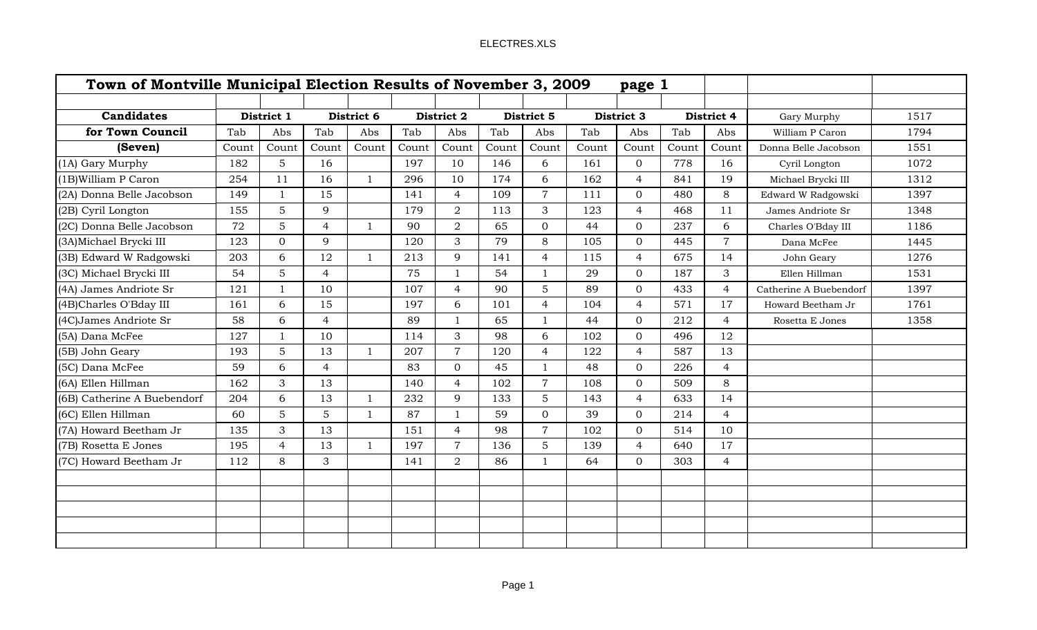|                             |       |                | Town of Montville Municipal Election Results of November 3, 2009<br>page 1 |                |       |                |       |                |       |                |       |                |                        |      |
|-----------------------------|-------|----------------|----------------------------------------------------------------------------|----------------|-------|----------------|-------|----------------|-------|----------------|-------|----------------|------------------------|------|
|                             |       |                |                                                                            |                |       |                |       |                |       |                |       |                |                        |      |
| <b>Candidates</b>           |       | District 1     |                                                                            | District 6     |       | District 2     |       | District 5     |       | District 3     |       | District 4     | Gary Murphy            | 1517 |
| for Town Council            | Tab   | Abs            | Tab                                                                        | Abs            | Tab   | Abs            | Tab   | Abs            | Tab   | Abs            | Tab   | Abs            | William P Caron        | 1794 |
| (Seven)                     | Count | Count          | Count                                                                      | Count          | Count | Count          | Count | Count          | Count | Count          | Count | Count          | Donna Belle Jacobson   | 1551 |
| (1A) Gary Murphy            | 182   | 5              | 16                                                                         |                | 197   | 10             | 146   | 6              | 161   | $\overline{0}$ | 778   | 16             | Cyril Longton          | 1072 |
| (1B)William P Caron         | 254   | 11             | 16                                                                         | $\mathbf{1}$   | 296   | 10             | 174   | 6              | 162   | $\overline{4}$ | 841   | 19             | Michael Brycki III     | 1312 |
| (2A) Donna Belle Jacobson   | 149   | -1             | 15                                                                         |                | 141   | $\overline{4}$ | 109   | $\overline{7}$ | 111   | $\Omega$       | 480   | 8              | Edward W Radgowski     | 1397 |
| (2B) Cyril Longton          | 155   | 5              | 9                                                                          |                | 179   | $\overline{2}$ | 113   | 3              | 123   | $\overline{4}$ | 468   | 11             | James Andriote Sr      | 1348 |
| (2C) Donna Belle Jacobson   | 72    | 5              | $\overline{4}$                                                             | $\overline{1}$ | 90    | $\overline{2}$ | 65    | $\overline{0}$ | 44    | $\Omega$       | 237   | 6              | Charles O'Bday III     | 1186 |
| (3A) Michael Brycki III     | 123   | $\mathbf{0}$   | 9                                                                          |                | 120   | 3              | 79    | 8              | 105   | $\Omega$       | 445   | $\overline{7}$ | Dana McFee             | 1445 |
| (3B) Edward W Radgowski     | 203   | 6              | 12                                                                         | $\overline{1}$ | 213   | 9              | 141   | $\overline{4}$ | 115   | $\overline{4}$ | 675   | 14             | John Geary             | 1276 |
| (3C) Michael Brycki III     | 54    | 5              | $\overline{4}$                                                             |                | 75    |                | 54    | $\mathbf{1}$   | 29    | $\overline{0}$ | 187   | 3              | Ellen Hillman          | 1531 |
| (4A) James Andriote Sr      | 121   |                | 10                                                                         |                | 107   | $\overline{4}$ | 90    | 5              | 89    | $\Omega$       | 433   | $\overline{4}$ | Catherine A Buebendorf | 1397 |
| (4B)Charles O'Bday III      | 161   | 6              | 15                                                                         |                | 197   | 6              | 101   | $\overline{4}$ | 104   | $\overline{4}$ | 571   | 17             | Howard Beetham Jr      | 1761 |
| (4C) James Andriote Sr      | 58    | 6              | $\overline{4}$                                                             |                | 89    | $\mathbf{1}$   | 65    | $\mathbf{1}$   | 44    | $\Omega$       | 212   | $\overline{4}$ | Rosetta E Jones        | 1358 |
| (5A) Dana McFee             | 127   | $\mathbf{1}$   | 10                                                                         |                | 114   | 3              | 98    | 6              | 102   | $\Omega$       | 496   | 12             |                        |      |
| (5B) John Geary             | 193   | 5              | 13                                                                         | $\mathbf{1}$   | 207   | $\overline{7}$ | 120   | $\overline{4}$ | 122   | $\overline{4}$ | 587   | 13             |                        |      |
| (5C) Dana McFee             | 59    | 6              | $\overline{4}$                                                             |                | 83    | $\overline{0}$ | 45    | $\mathbf{1}$   | 48    | $\overline{0}$ | 226   | $\overline{4}$ |                        |      |
| (6A) Ellen Hillman          | 162   | 3              | 13                                                                         |                | 140   | $\overline{4}$ | 102   | $\overline{7}$ | 108   | $\overline{0}$ | 509   | 8              |                        |      |
| (6B) Catherine A Buebendorf | 204   | 6              | 13                                                                         | $\mathbf{1}$   | 232   | 9              | 133   | 5              | 143   | $\overline{4}$ | 633   | 14             |                        |      |
| (6C) Ellen Hillman          | 60    | 5              | 5                                                                          | $\mathbf{1}$   | 87    | $\mathbf{1}$   | 59    | $\overline{0}$ | 39    | $\overline{0}$ | 214   | $\overline{4}$ |                        |      |
| (7A) Howard Beetham Jr      | 135   | 3              | 13                                                                         |                | 151   | $\overline{4}$ | 98    | $\overline{7}$ | 102   | $\overline{0}$ | 514   | 10             |                        |      |
| (7B) Rosetta E Jones        | 195   | $\overline{4}$ | 13                                                                         | $\mathbf{1}$   | 197   | $\overline{7}$ | 136   | 5              | 139   | $\overline{4}$ | 640   | 17             |                        |      |
| (7C) Howard Beetham Jr      | 112   | 8              | 3                                                                          |                | 141   | $\overline{2}$ | 86    | 1              | 64    | $\overline{0}$ | 303   | $\overline{4}$ |                        |      |
|                             |       |                |                                                                            |                |       |                |       |                |       |                |       |                |                        |      |
|                             |       |                |                                                                            |                |       |                |       |                |       |                |       |                |                        |      |
|                             |       |                |                                                                            |                |       |                |       |                |       |                |       |                |                        |      |
|                             |       |                |                                                                            |                |       |                |       |                |       |                |       |                |                        |      |
|                             |       |                |                                                                            |                |       |                |       |                |       |                |       |                |                        |      |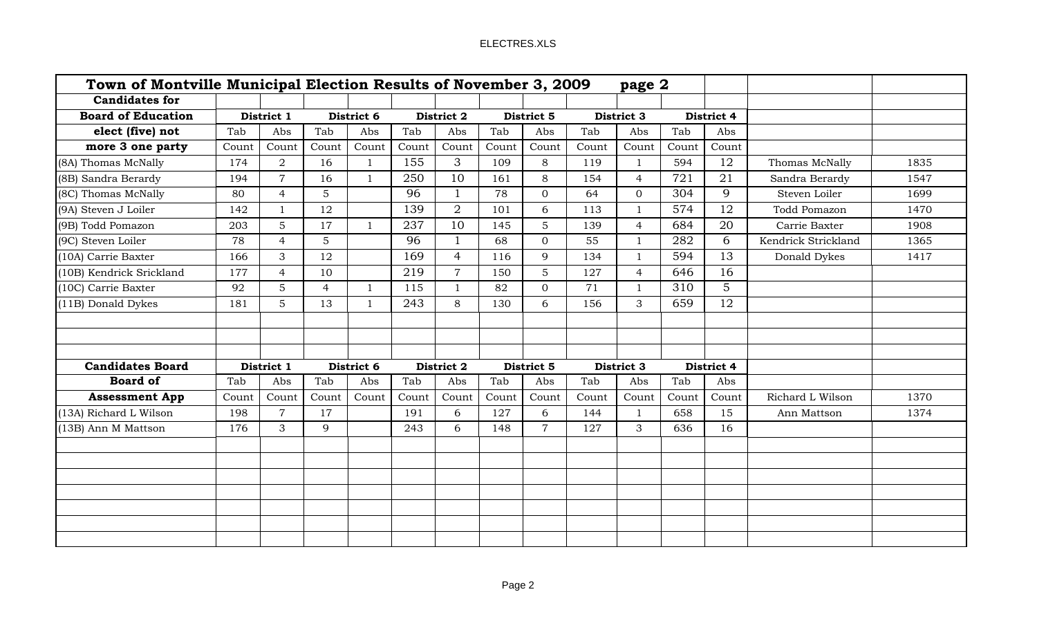|                           | Town of Montville Municipal Election Results of November 3, 2009 |                |                |              |            | page 2         |            |                |            |                |            |             |                     |      |
|---------------------------|------------------------------------------------------------------|----------------|----------------|--------------|------------|----------------|------------|----------------|------------|----------------|------------|-------------|---------------------|------|
| <b>Candidates for</b>     |                                                                  |                |                |              |            |                |            |                |            |                |            |             |                     |      |
| <b>Board of Education</b> |                                                                  | District 1     |                | District 6   |            | District 2     |            | District 5     |            | District 3     |            | District 4  |                     |      |
| elect (five) not          | Tab                                                              | Abs            | Tab            | Abs          | Tab        | Abs            | Tab        | Abs            | Tab        | Abs            | Tab        | Abs         |                     |      |
| more 3 one party          | Count                                                            | Count          | Count          | Count        | Count      | Count          | Count      | Count          | Count      | Count          | Count      | Count       |                     |      |
| (8A) Thomas McNally       | 174                                                              | $\overline{2}$ | 16             |              | 155        | 3              | 109        | 8              | 119        | 1              | 594        | 12          | Thomas McNally      | 1835 |
| (8B) Sandra Berardy       | 194                                                              | $\overline{7}$ | 16             | 1            | 250        | 10             | 161        | 8              | 154        | $\overline{4}$ | 721        | 21          | Sandra Berardy      | 1547 |
| (8C) Thomas McNally       | 80                                                               | $\overline{4}$ | 5              |              | 96         | $\mathbf{1}$   | 78         | $\overline{0}$ | 64         | $\overline{0}$ | 304        | 9           | Steven Loiler       | 1699 |
| (9A) Steven J Loiler      | 142                                                              | $\mathbf{1}$   | 12             |              | 139        | $\overline{2}$ | 101        | 6              | 113        | $\mathbf{1}$   | 574        | 12          | Todd Pomazon        | 1470 |
| (9B) Todd Pomazon         | 203                                                              | 5              | 17             |              | 237        | 10             | 145        | 5              | 139        | $\overline{4}$ | 684        | 20          | Carrie Baxter       | 1908 |
| (9C) Steven Loiler        | 78                                                               | $\overline{4}$ | $\overline{5}$ |              | 96         |                | 68         | $\overline{0}$ | 55         | $\mathbf{1}$   | 282        | 6           | Kendrick Strickland | 1365 |
| (10A) Carrie Baxter       | 166                                                              | 3              | 12             |              | 169        | $\overline{4}$ | 116        | 9              | 134        | $\mathbf{1}$   | 594        | 13          | Donald Dykes        | 1417 |
| (10B) Kendrick Srickland  | 177                                                              | $\overline{4}$ | 10             |              | 219        | $\overline{7}$ | 150        | $5\phantom{.}$ | 127        | $\overline{4}$ | 646        | 16          |                     |      |
| (10C) Carrie Baxter       | 92                                                               | 5              | $\overline{4}$ | $\mathbf{1}$ | 115        | $\mathbf{1}$   | 82         | $\overline{0}$ | 71         | $\mathbf{1}$   | 310        | $5^{\circ}$ |                     |      |
| (11B) Donald Dykes        | 181                                                              | $5\phantom{.}$ | 13             |              | 243        | 8              | 130        | 6              | 156        | $\mathbf{3}$   | 659        | 12          |                     |      |
|                           |                                                                  |                |                |              |            |                |            |                |            |                |            |             |                     |      |
|                           |                                                                  |                |                |              |            |                |            |                |            |                |            |             |                     |      |
|                           |                                                                  |                |                |              |            |                |            |                |            |                |            |             |                     |      |
| <b>Candidates Board</b>   |                                                                  | District 1     |                | District 6   | District 2 |                | District 5 |                | District 3 |                | District 4 |             |                     |      |
| <b>Board of</b>           | Tab                                                              | Abs            | Tab            | Abs          | Tab        | Abs            | Tab        | Abs            | Tab        | Abs            | Tab        | Abs         |                     |      |
| <b>Assessment App</b>     | Count                                                            | Count          | Count          | Count        | Count      | Count          | Count      | Count          | Count      | Count          | Count      | Count       | Richard L Wilson    | 1370 |
| (13A) Richard L Wilson    | 198                                                              | $\overline{7}$ | 17             |              | 191        | 6              | 127        | 6              | 144        | $\mathbf{1}$   | 658        | 15          | Ann Mattson         | 1374 |
| (13B) Ann M Mattson       | 176                                                              | 3              | 9              |              | 243        | 6              | 148        | $\overline{7}$ | 127        | 3              | 636        | 16          |                     |      |
|                           |                                                                  |                |                |              |            |                |            |                |            |                |            |             |                     |      |
|                           |                                                                  |                |                |              |            |                |            |                |            |                |            |             |                     |      |
|                           |                                                                  |                |                |              |            |                |            |                |            |                |            |             |                     |      |
|                           |                                                                  |                |                |              |            |                |            |                |            |                |            |             |                     |      |
|                           |                                                                  |                |                |              |            |                |            |                |            |                |            |             |                     |      |
|                           |                                                                  |                |                |              |            |                |            |                |            |                |            |             |                     |      |
|                           |                                                                  |                |                |              |            |                |            |                |            |                |            |             |                     |      |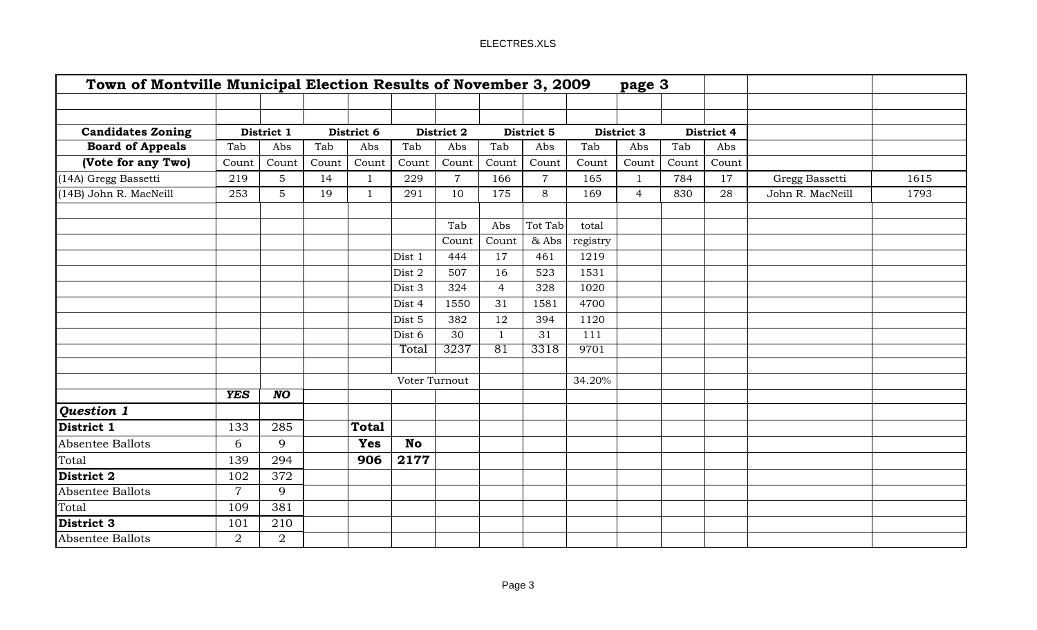| Town of Montville Municipal Election Results of November 3, 2009 |                |                 |       |              |               |                |                |                |          | page 3         |       |            |                  |      |
|------------------------------------------------------------------|----------------|-----------------|-------|--------------|---------------|----------------|----------------|----------------|----------|----------------|-------|------------|------------------|------|
|                                                                  |                |                 |       |              |               |                |                |                |          |                |       |            |                  |      |
| <b>Candidates Zoning</b>                                         |                | District 1      |       | District 6   |               | District 2     |                | District 5     |          | District 3     |       | District 4 |                  |      |
| <b>Board of Appeals</b>                                          | Tab            | Abs             | Tab   | Abs          | Tab           | Abs            | Tab            | Abs            | Tab      | Abs            | Tab   | Abs        |                  |      |
| (Vote for any Two)                                               | Count          | Count           | Count | Count        | Count         | Count          | Count          | Count          | Count    | Count          | Count | Count      |                  |      |
| (14A) Gregg Bassetti                                             | 219            | $5\phantom{.}$  | 14    | $\mathbf{1}$ | 229           | $\overline{7}$ | 166            | $\overline{7}$ | 165      | $\mathbf{1}$   | 784   | 17         | Gregg Bassetti   | 1615 |
| (14B) John R. MacNeill                                           | 253            | $\overline{5}$  | 19    | 1            | 291           | 10             | 175            | 8              | 169      | $\overline{4}$ | 830   | 28         | John R. MacNeill | 1793 |
|                                                                  |                |                 |       |              |               | Tab            | Abs            | Tot Tab        | total    |                |       |            |                  |      |
|                                                                  |                |                 |       |              |               | Count          | Count          | & Abs          | registry |                |       |            |                  |      |
|                                                                  |                |                 |       |              | Dist 1        | 444            | 17             | 461            | 1219     |                |       |            |                  |      |
|                                                                  |                |                 |       |              | Dist 2        | 507            | 16             | 523            | 1531     |                |       |            |                  |      |
|                                                                  |                |                 |       |              | Dist 3        | 324            | $\overline{4}$ | 328            | 1020     |                |       |            |                  |      |
|                                                                  |                |                 |       |              | Dist 4        | 1550           | 31             | 1581           | 4700     |                |       |            |                  |      |
|                                                                  |                |                 |       |              | Dist 5        | 382            | 12             | 394            | 1120     |                |       |            |                  |      |
|                                                                  |                |                 |       |              | Dist 6        | 30             | $\mathbf{1}$   | 31             | 111      |                |       |            |                  |      |
|                                                                  |                |                 |       |              | Total         | 3237           | 81             | 3318           | 9701     |                |       |            |                  |      |
|                                                                  |                |                 |       |              |               |                |                |                |          |                |       |            |                  |      |
|                                                                  |                |                 |       |              | Voter Turnout |                |                |                | 34.20%   |                |       |            |                  |      |
|                                                                  | <b>YES</b>     | $\overline{NO}$ |       |              |               |                |                |                |          |                |       |            |                  |      |
| Question 1                                                       |                |                 |       |              |               |                |                |                |          |                |       |            |                  |      |
| District 1                                                       | 133            | 285             |       | <b>Total</b> |               |                |                |                |          |                |       |            |                  |      |
| Absentee Ballots                                                 | 6              | 9               |       | <b>Yes</b>   | <b>No</b>     |                |                |                |          |                |       |            |                  |      |
| <b>Total</b>                                                     | 139            | 294             |       | 906          | 2177          |                |                |                |          |                |       |            |                  |      |
| District 2                                                       | 102            | 372             |       |              |               |                |                |                |          |                |       |            |                  |      |
| Absentee Ballots                                                 | $\overline{7}$ | 9               |       |              |               |                |                |                |          |                |       |            |                  |      |
| Total                                                            | 109            | 381             |       |              |               |                |                |                |          |                |       |            |                  |      |
| District 3                                                       | 101            | 210             |       |              |               |                |                |                |          |                |       |            |                  |      |
| Absentee Ballots                                                 | $\overline{2}$ | $\overline{2}$  |       |              |               |                |                |                |          |                |       |            |                  |      |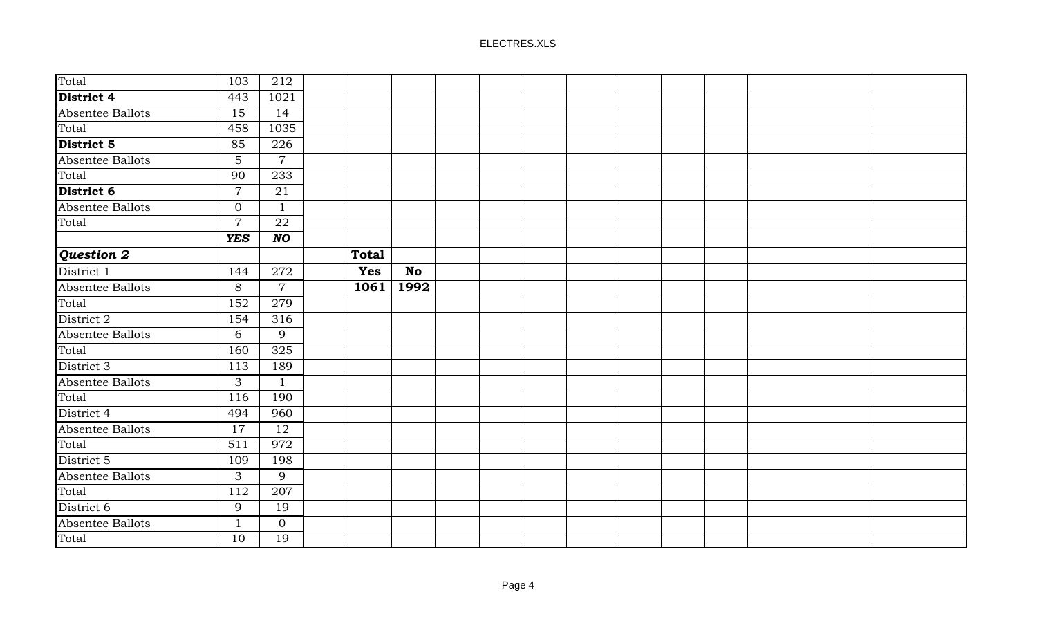| Total            | 103            | 212            |              |           |  |  |  |
|------------------|----------------|----------------|--------------|-----------|--|--|--|
| District 4       | 443            | 1021           |              |           |  |  |  |
| Absentee Ballots | 15             | 14             |              |           |  |  |  |
| Total            | 458            | 1035           |              |           |  |  |  |
| District 5       | 85             | 226            |              |           |  |  |  |
| Absentee Ballots | $5\phantom{.}$ | $\overline{7}$ |              |           |  |  |  |
| Total            | 90             | 233            |              |           |  |  |  |
| District 6       | $\overline{7}$ | 21             |              |           |  |  |  |
| Absentee Ballots | $\overline{0}$ | $\mathbf{1}$   |              |           |  |  |  |
| Total            | $\overline{7}$ | 22             |              |           |  |  |  |
|                  | <b>YES</b>     | $NO$           |              |           |  |  |  |
| Question 2       |                |                | <b>Total</b> |           |  |  |  |
| District 1       | 144            | 272            | <b>Yes</b>   | <b>No</b> |  |  |  |
| Absentee Ballots | 8              | $\overline{7}$ | 1061         | 1992      |  |  |  |
| Total            | 152            | 279            |              |           |  |  |  |
| District 2       | 154            | 316            |              |           |  |  |  |
| Absentee Ballots | 6              | 9              |              |           |  |  |  |
| Total            | 160            | 325            |              |           |  |  |  |
| District 3       | 113            | 189            |              |           |  |  |  |
| Absentee Ballots | 3              | $\mathbf{1}$   |              |           |  |  |  |
| Total            | 116            | 190            |              |           |  |  |  |
| District 4       | 494            | 960            |              |           |  |  |  |
| Absentee Ballots | 17             | 12             |              |           |  |  |  |
| Total            | 511            | 972            |              |           |  |  |  |
| District 5       | 109            | 198            |              |           |  |  |  |
| Absentee Ballots | 3              | 9              |              |           |  |  |  |
| Total            | 112            | 207            |              |           |  |  |  |
| District 6       | 9              | 19             |              |           |  |  |  |
| Absentee Ballots | 1              | $\mathbf{0}$   |              |           |  |  |  |
| Total            | 10             | 19             |              |           |  |  |  |